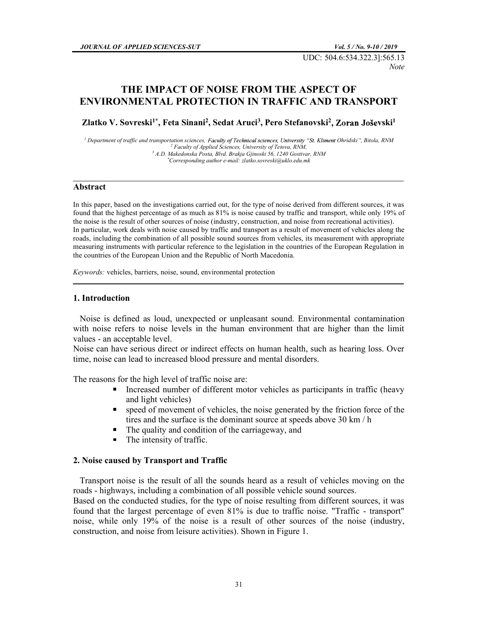UDC: 504.6:534.322.3]:565.13 Note and the *Note* and the *Note* 

# THE IMPACT OF NOISE FROM THE ASPECT OF ENVIRONMENTAL PROTECTION IN TRAFFIC AND TRANSPORT

Zlatko V. Sovreski<sup>1\*</sup>, Feta Sinani<sup>2</sup>, Sedat Aruci<sup>3</sup>, Pero Stefanovski<sup>2</sup>, Zoran Joševski<sup>1</sup>

<sup>1</sup> Department of traffic and transportation sciences, Faculty of Technical sciences, University "St. Kliment Ohridski", Bitola, RNM<br><sup>2</sup> Faculty of Applied Sciences, University of *Tetova, RNM* <sup>2</sup> Faculty of Applied Sciences, University of Tetova, RNM,  $A.D. Makedonska *Posta*, *Bivd. Brakja Gjinoski* 56, 1240 Gostivar, *RNM*   
*Corresponding author e-mail: *zlatko.sovreski@uklo.edu.mk*$ 

 $\_$  . The contribution of the contribution of the contribution of the contribution of  $\mathcal{L}_1$ 

#### Abstract

In this paper, based on the investigations carried out, for the type of noise derived from different sources, it was found that the highest percentage of as much as 81% is noise caused by traffic and transport, while only 19% of the noise is the result of other sources of noise (industry, construction, and noise from recreational activities). In particular, work deals with noise caused by traffic and transport as a result of movement of vehicles along the roads, including the combination of all possible sound sources from vehicles, its measurement with appropriate measuring instruments with particular reference to the legislation in the countries of the European Regulation in the countries of the European Union and the Republic of North Macedonia.

Keywords: vehicles, barriers, noise, sound, environmental protection

### 1. Introduction

 Noise is defined as loud, unexpected or unpleasant sound. Environmental contamination with noise refers to noise levels in the human environment that are higher than the limit values - an acceptable level.

Noise can have serious direct or indirect effects on human health, such as hearing loss. Over time, noise can lead to increased blood pressure and mental disorders.

The reasons for the high level of traffic noise are:

- $\blacksquare$ Increased number of different motor vehicles as participants in traffic (heavy and light vehicles)
- $\blacksquare$  . speed of movement of vehicles, the noise generated by the friction force of the tires and the surface is the dominant source at speeds above 30 km / h
- The quality and condition of the carriageway, and
- The intensity of traffic.  $\blacksquare$

#### 2. Noise caused by Transport and Traffic

 Transport noise is the result of all the sounds heard as a result of vehicles moving on the roads - highways, including a combination of all possible vehicle sound sources.

Based on the conducted studies, for the type of noise resulting from different sources, it was found that the largest percentage of even 81% is due to traffic noise. "Traffic - transport" noise, while only 19% of the noise is a result of other sources of the noise (industry, construction, and noise from leisure activities). Shown in Figure 1.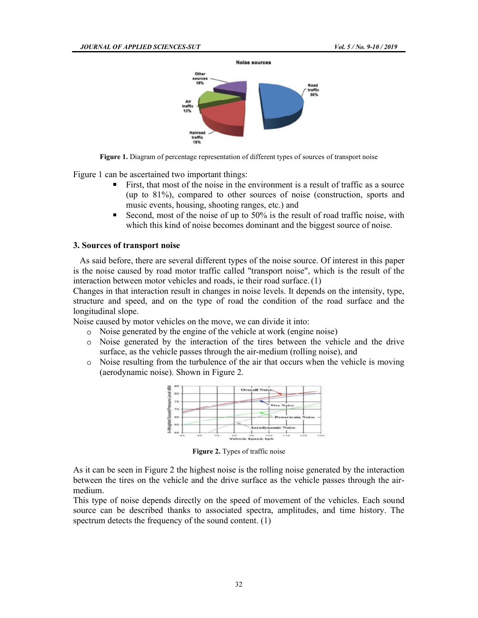

Figure 1. Diagram of percentage representation of different types of sources of transport noise

Figure 1 can be ascertained two important things:

- First, that most of the noise in the environment is a result of traffic as a source (up to 81%), compared to other sources of noise (construction, sports and music events, housing, shooting ranges, etc.) and
- Second, most of the noise of up to 50% is the result of road traffic noise, with which this kind of noise becomes dominant and the biggest source of noise.

#### 3. Sources of transport noise

 As said before, there are several different types of the noise source. Of interest in this paper is the noise caused by road motor traffic called "transport noise", which is the result of the interaction between motor vehicles and roads, ie their road surface. (1)

Changes in that interaction result in changes in noise levels. It depends on the intensity, type, structure and speed, and on the type of road the condition of the road surface and the longitudinal slope.

Noise caused by motor vehicles on the move, we can divide it into:

- Noise generated by the engine of the vehicle at work (engine noise)
- Noise generated by the interaction of the tires between the vehicle and the drive surface, as the vehicle passes through the air-medium (rolling noise), and
- Noise resulting from the turbulence of the air that occurs when the vehicle is moving  $\circ$ (aerodynamic noise). Shown in Figure 2.



Figure 2. Types of traffic noise

As it can be seen in Figure 2 the highest noise is the rolling noise generated by the interaction between the tires on the vehicle and the drive surface as the vehicle passes through the airmedium.

This type of noise depends directly on the speed of movement of the vehicles. Each sound source can be described thanks to associated spectra, amplitudes, and time history. The spectrum detects the frequency of the sound content. (1)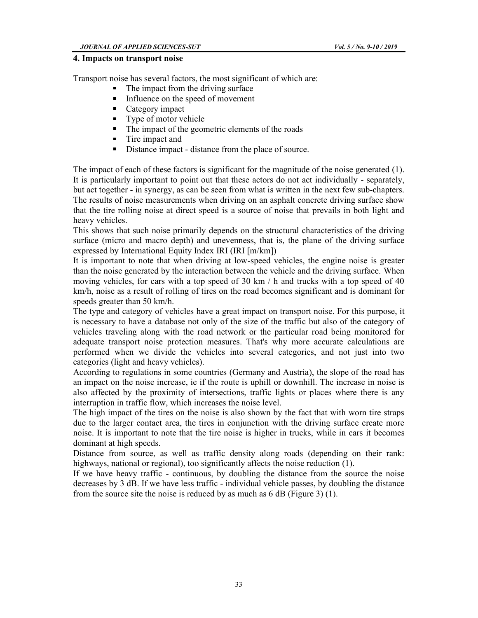#### 4. Impacts on transport noise

Transport noise has several factors, the most significant of which are:

- The impact from the driving surface
- Influence on the speed of movement
- $\blacksquare$ Category impact
- Type of motor vehicle  $\blacksquare$
- The impact of the geometric elements of the roads
- **Tire impact and**
- Distance impact distance from the place of source.

The impact of each of these factors is significant for the magnitude of the noise generated (1). It is particularly important to point out that these actors do not act individually - separately, but act together - in synergy, as can be seen from what is written in the next few sub-chapters. The results of noise measurements when driving on an asphalt concrete driving surface show that the tire rolling noise at direct speed is a source of noise that prevails in both light and heavy vehicles.

This shows that such noise primarily depends on the structural characteristics of the driving surface (micro and macro depth) and unevenness, that is, the plane of the driving surface expressed by International Equity Index IRI (IRI [m/km])

It is important to note that when driving at low-speed vehicles, the engine noise is greater than the noise generated by the interaction between the vehicle and the driving surface. When moving vehicles, for cars with a top speed of 30 km / h and trucks with a top speed of 40 km/h, noise as a result of rolling of tires on the road becomes significant and is dominant for speeds greater than 50 km/h.

The type and category of vehicles have a great impact on transport noise. For this purpose, it is necessary to have a database not only of the size of the traffic but also of the category of vehicles traveling along with the road network or the particular road being monitored for adequate transport noise protection measures. That's why more accurate calculations are performed when we divide the vehicles into several categories, and not just into two categories (light and heavy vehicles).

According to regulations in some countries (Germany and Austria), the slope of the road has an impact on the noise increase, ie if the route is uphill or downhill. The increase in noise is also affected by the proximity of intersections, traffic lights or places where there is any interruption in traffic flow, which increases the noise level.

The high impact of the tires on the noise is also shown by the fact that with worn tire straps due to the larger contact area, the tires in conjunction with the driving surface create more noise. It is important to note that the tire noise is higher in trucks, while in cars it becomes dominant at high speeds.

Distance from source, as well as traffic density along roads (depending on their rank: highways, national or regional), too significantly affects the noise reduction (1).

If we have heavy traffic - continuous, by doubling the distance from the source the noise decreases by 3 dB. If we have less traffic - individual vehicle passes, by doubling the distance from the source site the noise is reduced by as much as 6 dB (Figure 3) (1).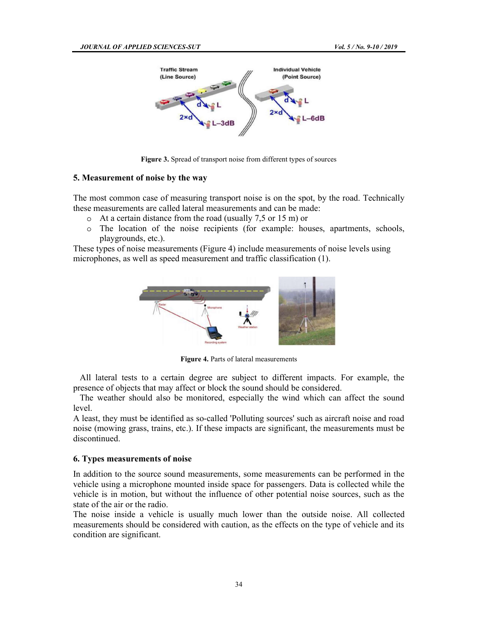

Figure 3. Spread of transport noise from different types of sources

### 5. Measurement of noise by the way

The most common case of measuring transport noise is on the spot, by the road. Technically these measurements are called lateral measurements and can be made:

- At a certain distance from the road (usually 7,5 or 15 m) or
- $\circ$  The location of the noise recipients (for example: houses, apartments, schools, playgrounds, etc.).

These types of noise measurements (Figure 4) include measurements of noise levels using microphones, as well as speed measurement and traffic classification (1).



Figure 4. Parts of lateral measurements

 All lateral tests to a certain degree are subject to different impacts. For example, the presence of objects that may affect or block the sound should be considered.

 The weather should also be monitored, especially the wind which can affect the sound level.

A least, they must be identified as so-called 'Polluting sources' such as aircraft noise and road noise (mowing grass, trains, etc.). If these impacts are significant, the measurements must be discontinued.

#### 6. Types measurements of noise

In addition to the source sound measurements, some measurements can be performed in the vehicle using a microphone mounted inside space for passengers. Data is collected while the vehicle is in motion, but without the influence of other potential noise sources, such as the state of the air or the radio.

The noise inside a vehicle is usually much lower than the outside noise. All collected measurements should be considered with caution, as the effects on the type of vehicle and its condition are significant.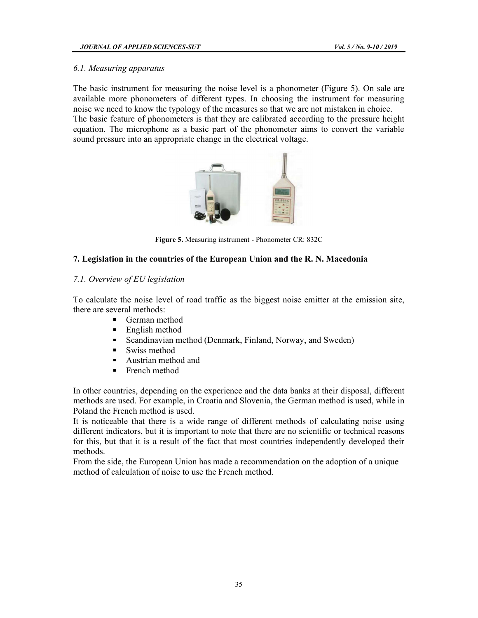## 6.1. Measuring apparatus

The basic instrument for measuring the noise level is a phonometer (Figure 5). On sale are available more phonometers of different types. In choosing the instrument for measuring noise we need to know the typology of the measures so that we are not mistaken in choice. The basic feature of phonometers is that they are calibrated according to the pressure height equation. The microphone as a basic part of the phonometer aims to convert the variable sound pressure into an appropriate change in the electrical voltage.



Figure 5. Measuring instrument - Phonometer CR: 832C

## 7. Legislation in the countries of the European Union and the R. N. Macedonia

## 7.1. Overview of EU legislation

To calculate the noise level of road traffic as the biggest noise emitter at the emission site, there are several methods:

- German method  $\blacksquare$
- English method
- Scandinavian method (Denmark, Finland, Norway, and Sweden)
- $\blacksquare$ Swiss method
- Austrian method and  $\blacksquare$
- **French method**

In other countries, depending on the experience and the data banks at their disposal, different methods are used. For example, in Croatia and Slovenia, the German method is used, while in Poland the French method is used.

It is noticeable that there is a wide range of different methods of calculating noise using different indicators, but it is important to note that there are no scientific or technical reasons for this, but that it is a result of the fact that most countries independently developed their methods.

From the side, the European Union has made a recommendation on the adoption of a unique method of calculation of noise to use the French method.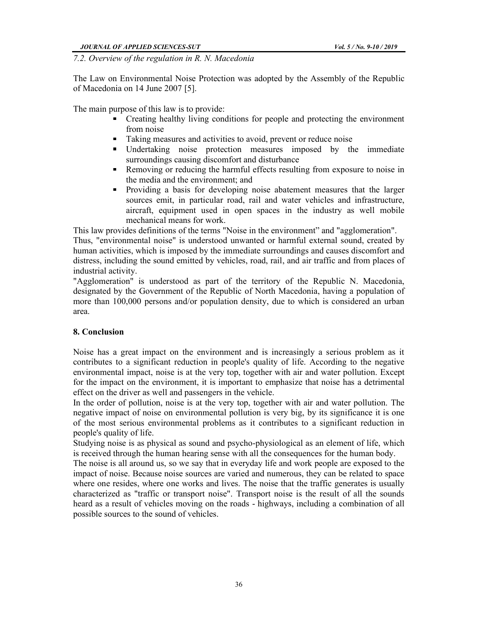7.2. Overview of the regulation in R. N. Macedonia<br>The Law on Environmental Noise Protection was adopted by the Assembly of the Republic of Macedonia on 14 June 2007 [5].

The main purpose of this law is to provide:

- Creating healthy living conditions for people and protecting the environment from noise
- Taking measures and activities to avoid, prevent or reduce noise
- **IDED** Undertaking noise protection measures imposed by the immediate surroundings causing discomfort and disturbance
- Removing or reducing the harmful effects resulting from exposure to noise in  $\blacksquare$  . the media and the environment; and
- $\mathbf{u}$ Providing a basis for developing noise abatement measures that the larger sources emit, in particular road, rail and water vehicles and infrastructure, aircraft, equipment used in open spaces in the industry as well mobile mechanical means for work.

This law provides definitions of the terms "Noise in the environment" and "agglomeration".

Thus, "environmental noise" is understood unwanted or harmful external sound, created by human activities, which is imposed by the immediate surroundings and causes discomfort and distress, including the sound emitted by vehicles, road, rail, and air traffic and from places of industrial activity.

"Agglomeration" is understood as part of the territory of the Republic N. Macedonia, designated by the Government of the Republic of North Macedonia, having a population of more than 100,000 persons and/or population density, due to which is considered an urban area.

## 8. Conclusion

Noise has a great impact on the environment and is increasingly a serious problem as it contributes to a significant reduction in people's quality of life. According to the negative environmental impact, noise is at the very top, together with air and water pollution. Except for the impact on the environment, it is important to emphasize that noise has a detrimental effect on the driver as well and passengers in the vehicle.

In the order of pollution, noise is at the very top, together with air and water pollution. The negative impact of noise on environmental pollution is very big, by its significance it is one of the most serious environmental problems as it contributes to a significant reduction in people's quality of life.

Studying noise is as physical as sound and psycho-physiological as an element of life, which is received through the human hearing sense with all the consequences for the human body.

The noise is all around us, so we say that in everyday life and work people are exposed to the impact of noise. Because noise sources are varied and numerous, they can be related to space where one resides, where one works and lives. The noise that the traffic generates is usually characterized as "traffic or transport noise". Transport noise is the result of all the sounds heard as a result of vehicles moving on the roads - highways, including a combination of all possible sources to the sound of vehicles.